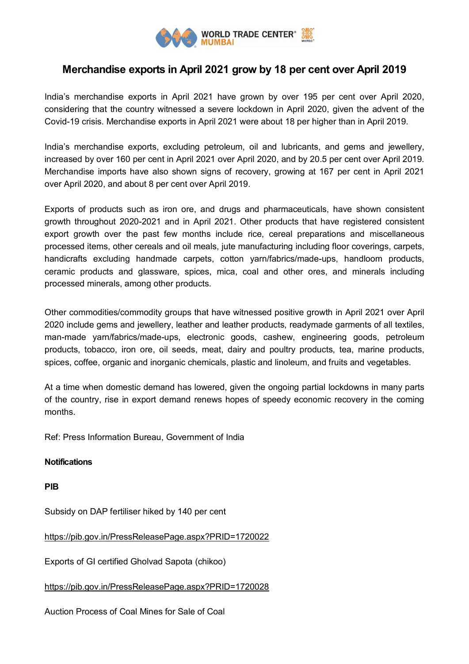

## **Merchandise exports in April 2021 grow by 18 per cent over April 2019**

India's merchandise exports in April 2021 have grown by over 195 per cent over April 2020, considering that the country witnessed a severe lockdown in April 2020, given the advent of the Covid-19 crisis. Merchandise exports in April 2021 were about 18 per higher than in April 2019.

India's merchandise exports, excluding petroleum, oil and lubricants, and gems and jewellery, increased by over 160 per cent in April 2021 over April 2020, and by 20.5 per cent over April 2019. Merchandise imports have also shown signs of recovery, growing at 167 per cent in April 2021 over April 2020, and about 8 per cent over April 2019.

Exports of products such as iron ore, and drugs and pharmaceuticals, have shown consistent growth throughout 2020-2021 and in April 2021. Other products that have registered consistent export growth over the past few months include rice, cereal preparations and miscellaneous processed items, other cereals and oil meals, jute manufacturing including floor coverings, carpets, handicrafts excluding handmade carpets, cotton yarn/fabrics/made-ups, handloom products, ceramic products and glassware, spices, mica, coal and other ores, and minerals including processed minerals, among other products.

Other commodities/commodity groups that have witnessed positive growth in April 2021 over April 2020 include gems and jewellery, leather and leather products, readymade garments of all textiles, man-made yarn/fabrics/made-ups, electronic goods, cashew, engineering goods, petroleum products, tobacco, iron ore, oil seeds, meat, dairy and poultry products, tea, marine products, spices, coffee, organic and inorganic chemicals, plastic and linoleum, and fruits and vegetables.

At a time when domestic demand has lowered, given the ongoing partial lockdowns in many parts of the country, rise in export demand renews hopes of speedy economic recovery in the coming months.

Ref: Press Information Bureau, Government of India

## **Notifications**

**PIB**

Subsidy on DAP fertiliser hiked by 140 per cent

<https://pib.gov.in/PressReleasePage.aspx?PRID=1720022>

Exports of GI certified Gholvad Sapota (chikoo)

<https://pib.gov.in/PressReleasePage.aspx?PRID=1720028>

Auction Process of Coal Mines for Sale of Coal